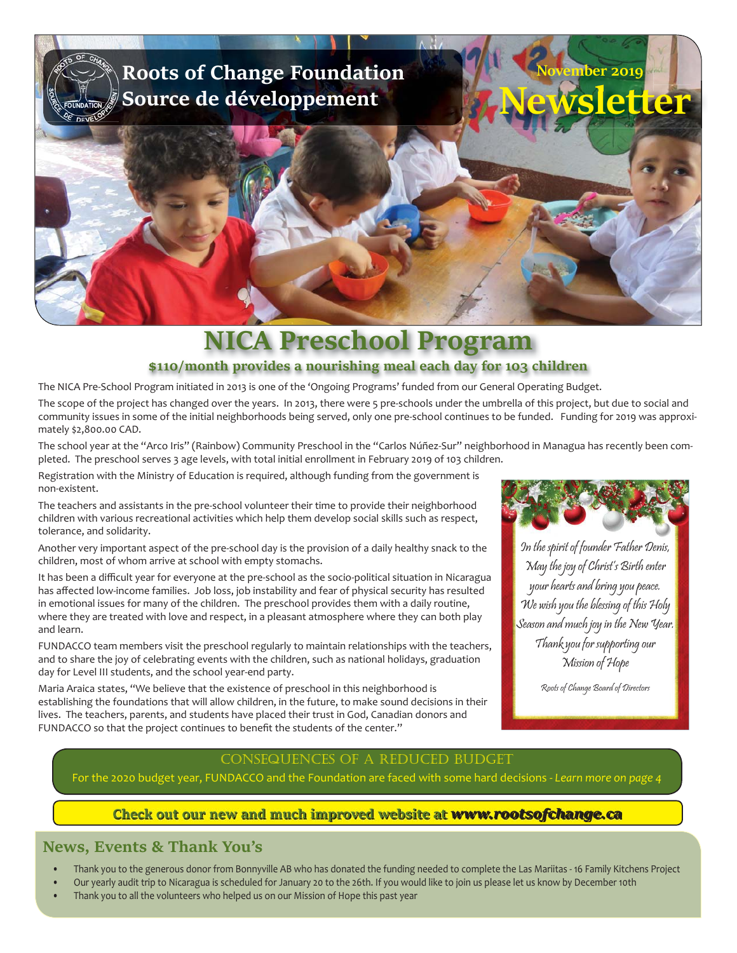

# **NICA Preschool Program \$110/month provides a nourishing meal each day for 103 children**

The NICA Pre-School Program initiated in 2013 is one of the 'Ongoing Programs' funded from our General Operating Budget.

The scope of the project has changed over the years. In 2013, there were 5 pre-schools under the umbrella of this project, but due to social and community issues in some of the initial neighborhoods being served, only one pre-school continues to be funded. Funding for 2019 was approximately \$2,800.00 CAD.

The school year at the "Arco Iris" (Rainbow) Community Preschool in the "Carlos Núñez-Sur" neighborhood in Managua has recently been completed. The preschool serves 3 age levels, with total initial enrollment in February 2019 of 103 children.

Registration with the Ministry of Education is required, although funding from the government is non-existent.

The teachers and assistants in the pre-school volunteer their time to provide their neighborhood children with various recreational activities which help them develop social skills such as respect, tolerance, and solidarity.

Another very important aspect of the pre-school day is the provision of a daily healthy snack to the children, most of whom arrive at school with empty stomachs.

It has been a difficult year for everyone at the pre-school as the socio-political situation in Nicaragua has affected low-income families. Job loss, job instability and fear of physical security has resulted in emotional issues for many of the children. The preschool provides them with a daily routine, where they are treated with love and respect, in a pleasant atmosphere where they can both play and learn.

FUNDACCO team members visit the preschool regularly to maintain relationships with the teachers, and to share the joy of celebrating events with the children, such as national holidays, graduation day for Level III students, and the school year-end party.

Maria Araica states, "We believe that the existence of preschool in this neighborhood is establishing the foundations that will allow children, in the future, to make sound decisions in their lives. The teachers, parents, and students have placed their trust in God, Canadian donors and FUNDACCO so that the project continues to benefit the students of the center."



In the spirit of founder Father Denis, May the joy of Christ's Birth enter your hearts and bring you peace. We wish you the blessing of this Holy Season and much joy in the New Year. Thank you for supporting our Mission of Hope

Roots of Change Board of Directors

### consequences of a reduced budget

For the 2020 budget year, FUNDACCO and the Foundation are faced with some hard decisions - *Learn more on page 4*

### **Check out our new and much improved website at** *www.rootsofchange.ca*

### **News, Events & Thank You's**

- Thank you to the generous donor from Bonnyville AB who has donated the funding needed to complete the Las Mariitas 16 Family Kitchens Project
- Our yearly audit trip to Nicaragua is scheduled for January 20 to the 26th. If you would like to join us please let us know by December 10th
- Thank you to all the volunteers who helped us on our Mission of Hope this past year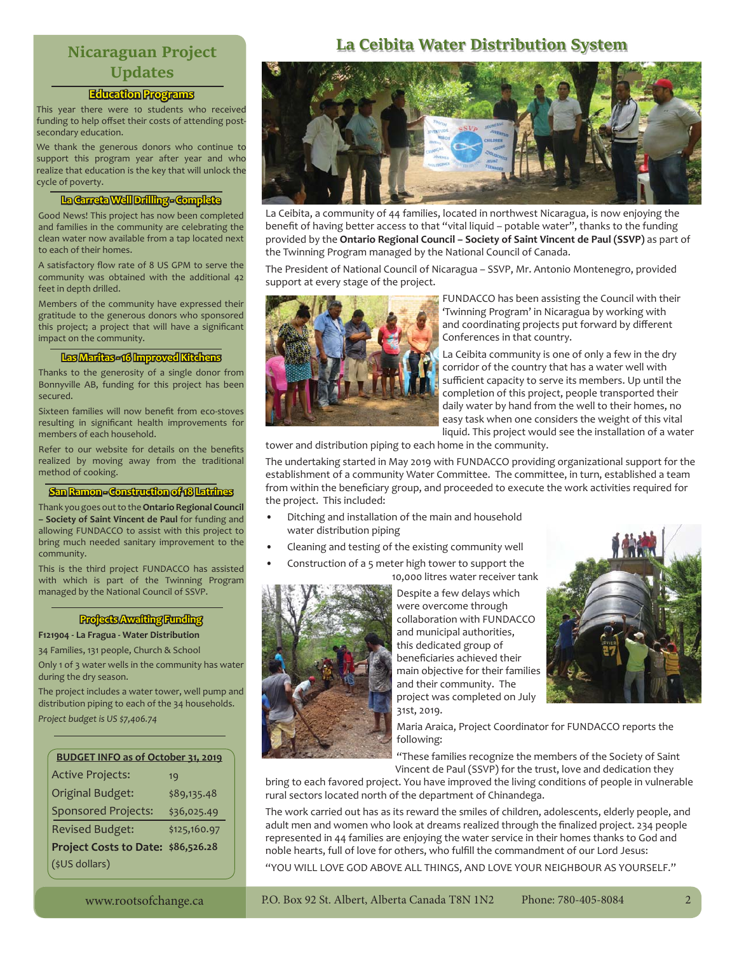# **Nicaraguan Project Updates**

### **Education Programs ducation**

This year there were 10 students who received funding to help offset their costs of attending postsecondary education.

We thank the generous donors who continue to support this program year after year and who realize that education is the key that will unlock the cycle of poverty.

### **La Carreta Well Drilling - Complete a**

Good News! This project has now been completed and families in the community are celebrating the clean water now available from a tap located next to each of their homes.

A satisfactory flow rate of 8 US GPM to serve the community was obtained with the additional 42 feet in depth drilled.

Members of the community have expressed their gratitude to the generous donors who sponsored this project; a project that will have a significant impact on the community.

### Las Maritas - 16 Improved Kitchens

Thanks to the generosity of a single donor from Bonnyville AB, funding for this project has been secured.

Sixteen families will now benefit from eco-stoves resulting in significant health improvements for members of each household.

Refer to our website for details on the benefits realized by moving away from the traditional method of cooking.

#### **San Ramon - Construction of 18 Latrines**

Thank you goes out to the **Ontario Regional Council – Society of Saint Vincent de Paul** for funding and allowing FUNDACCO to assist with this project to bring much needed sanitary improvement to the community.

This is the third project FUNDACCO has assisted with which is part of the Twinning Program managed by the National Council of SSVP.

### **Projects Awaiting Funding rojects**

**F121904 - La Fragua - Water Distribution**

34 Families, 131 people, Church & School

Only 1 of 3 water wells in the community has water during the dry season.

The project includes a water tower, well pump and distribution piping to each of the 34 households. *Project budget is US \$7,406.74*

| <b>BUDGET INFO as of October 31, 2019</b> |              |
|-------------------------------------------|--------------|
| <b>Active Projects:</b>                   | 19           |
| <b>Original Budget:</b>                   | \$89,135.48  |
| <b>Sponsored Projects:</b>                | \$36,025.49  |
| <b>Revised Budget:</b>                    | \$125,160.97 |
| Project Costs to Date: \$86,526.28        |              |
| (\$US dollars)                            |              |

# **La Ceibita Water Distribution System**



La Ceibita, a community of 44 families, located in northwest Nicaragua, is now enjoying the benefit of having better access to that "vital liquid – potable water", thanks to the funding provided by the **Ontario Regional Council – Society of Saint Vincent de Paul (SSVP)** as part of the Twinning Program managed by the National Council of Canada.

The President of National Council of Nicaragua – SSVP, Mr. Antonio Montenegro, provided support at every stage of the project.



FUNDACCO has been assisting the Council with their 'Twinning Program' in Nicaragua by working with and coordinating projects put forward by different Conferences in that country.

La Ceibita community is one of only a few in the dry corridor of the country that has a water well with sufficient capacity to serve its members. Up until the completion of this project, people transported their daily water by hand from the well to their homes, no easy task when one considers the weight of this vital liquid. This project would see the installation of a water

tower and distribution piping to each home in the community.

The undertaking started in May 2019 with FUNDACCO providing organizational support for the establishment of a community Water Committee. The committee, in turn, established a team from within the beneficiary group, and proceeded to execute the work activities required for the project. This included:

- Ditching and installation of the main and household water distribution piping
- Cleaning and testing of the existing community well
- Construction of a 5 meter high tower to support the

10,000 litres water receiver tank



Despite a few delays which were overcome through collaboration with FUNDACCO and municipal authorities, this dedicated group of beneficiaries achieved their main objective for their families and their community. The project was completed on July 31st, 2019.



Maria Araica, Project Coordinator for FUNDACCO reports the following:

"These families recognize the members of the Society of Saint Vincent de Paul (SSVP) for the trust, love and dedication they

bring to each favored project. You have improved the living conditions of people in vulnerable rural sectors located north of the department of Chinandega.

The work carried out has as its reward the smiles of children, adolescents, elderly people, and adult men and women who look at dreams realized through the finalized project. 234 people represented in 44 families are enjoying the water service in their homes thanks to God and noble hearts, full of love for others, who fulfill the commandment of our Lord Jesus: "YOU WILL LOVE GOD ABOVE ALL THINGS, AND LOVE YOUR NEIGHBOUR AS YOURSELF."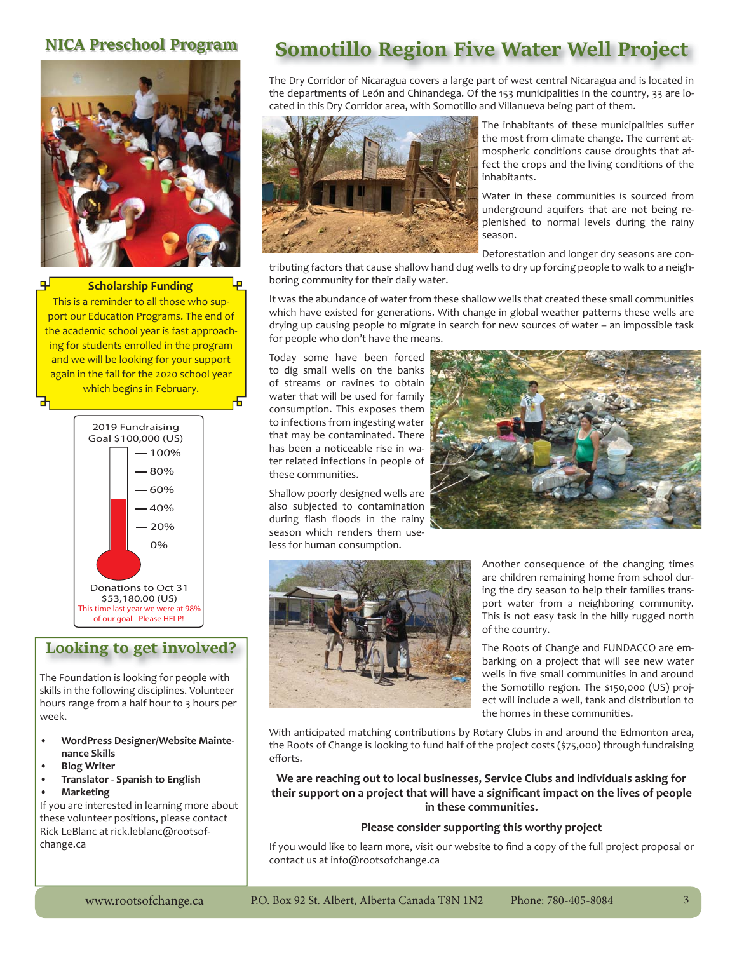

**Scholarship Funding**

This is a reminder to all those who support our Education Programs. The end of the academic school year is fast approaching for students enrolled in the program and we will be looking for your support again in the fall for the 2020 school year which begins in February. 击



## **Looking to get involved?**

The Foundation is looking for people with skills in the following disciplines. Volunteer hours range from a half hour to 3 hours per week.

- **WordPress Designer/Website Maintenance Skills**
- **Blog Writer**
- **Translator Spanish to English • Marketing**

If you are interested in learning more about these volunteer positions, please contact Rick LeBlanc at rick.leblanc@rootsofchange.ca

# **NICA Preschool Program Somotillo Region Five Water Well Project**

The Dry Corridor of Nicaragua covers a large part of west central Nicaragua and is located in the departments of León and Chinandega. Of the 153 municipalities in the country, 33 are located in this Dry Corridor area, with Somotillo and Villanueva being part of them.



The inhabitants of these municipalities suffer the most from climate change. The current atmospheric conditions cause droughts that affect the crops and the living conditions of the inhabitants.

Water in these communities is sourced from underground aquifers that are not being replenished to normal levels during the rainy season.

Deforestation and longer dry seasons are con-

tributing factors that cause shallow hand dug wells to dry up forcing people to walk to a neighboring community for their daily water.

It was the abundance of water from these shallow wells that created these small communities which have existed for generations. With change in global weather patterns these wells are drying up causing people to migrate in search for new sources of water – an impossible task for people who don't have the means.

Today some have been forced to dig small wells on the banks of streams or ravines to obtain water that will be used for family consumption. This exposes them to infections from ingesting water that may be contaminated. There has been a noticeable rise in water related infections in people of these communities.

Shallow poorly designed wells are also subjected to contamination during flash floods in the rainy season which renders them useless for human consumption.





Another consequence of the changing times are children remaining home from school during the dry season to help their families transport water from a neighboring community. This is not easy task in the hilly rugged north of the country.

The Roots of Change and FUNDACCO are embarking on a project that will see new water wells in five small communities in and around the Somotillo region. The \$150,000 (US) project will include a well, tank and distribution to the homes in these communities.

With anticipated matching contributions by Rotary Clubs in and around the Edmonton area, the Roots of Change is looking to fund half of the project costs (\$75,000) through fundraising efforts.

**We are reaching out to local businesses, Service Clubs and individuals asking for**  their support on a project that will have a significant impact on the lives of people **in these communities.** 

### **Please consider supporting this worthy project**

If you would like to learn more, visit our website to find a copy of the full project proposal or contact us at info@rootsofchange.ca